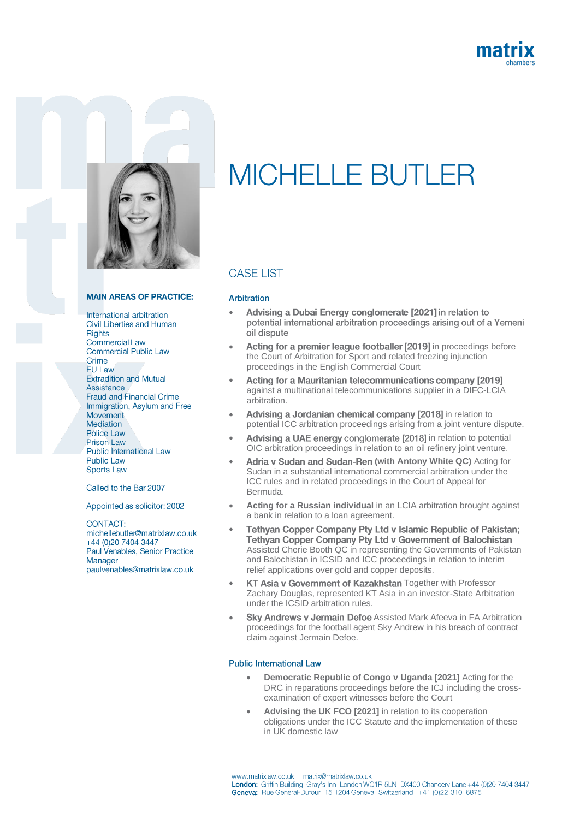



#### **MAIN AREAS OF PRACTICE:**

International arbitration Civil Liberties and Human **Rights** Commercial Law **Commercial Public Law** Crime **EU Law Extradition and Mutual** Assistance **Fraud and Financial Crime** Immigration, Asylum and Free Movement **Mediation** Police Law **Prison Law** Public International Law **Public Law Sports Law** 

Called to the Bar 2007

Appointed as solicitor: 2002

CONTACT: michellebutler@matrixlaw.co.uk +44 (0)20 7404 3447 Paul Venables, Senior Practice Manager paulvenables@matrixlaw.co.uk

# **MICHELLE BUTLER**

## **CASE LIST**

#### Arbitration

- Advising a Dubai Energy conglomerate [2021] in relation to • potential international arbitration proceedings arising out of a Yemeni oil dispute
- Acting for a premier league footballer [2019] in proceedings before the Court of Arbitration for Sport and related freezing injunction proceedings in the English Commercial Court
- Acting for a Mauritanian telecommunications company [2019] • against a multinational telecommunications supplier in a DIFC-LCIA arbitration.
- Advising a Jordanian chemical company [2018] in relation to potential ICC arbitration proceedings arising from a joint venture dispute.
- Advising a UAE energy conglomerate [2018] in relation to potential OIC arbitration proceedings in relation to an oil refinery joint venture.
- Adria v Sudan and Sudan-Ren (with Antony White QC) Acting for Sudan in a substantial international commercial arbitration under the ICC rules and in related proceedings in the Court of Appeal for Bermuda.
- **Acting for a Russian individual** in an LCIA arbitration brought against a bank in relation to a loan agreement.
- Tethyan Copper Company Pty Ltd v Islamic Republic of Pakistan; Tethyan Copper Company Pty Ltd v Government of Balochistan Assisted Cherie Booth QC in representing the Governments of Pakistan and Balochistan in ICSID and ICC proceedings in relation to interim relief applications over gold and copper deposits.
- KT Asia v Government of Kazakhstan Together with Professor Zachary Douglas, represented KT Asia in an investor-State Arbitration under the ICSID arbitration rules.
- **Sky Andrews v Jermain Defoe Assisted Mark Afeeva in FA Arbitration** proceedings for the football agent Sky Andrew in his breach of contract claim against Jermain Defoe.

#### **Public International Law**

- **Democratic Republic of Congo v Uganda [2021]** Acting for the DRC in reparations proceedings before the ICJ including the crossexamination of expert witnesses before the Court
- **Advising the UK FCO [2021]** in relation to its cooperation obligations under the ICC Statute and the implementation of these in UK domestic law

www.matrixlaw.co.uk matrix@matrixlaw.co.uk London: Griffin Building Gray's Inn London WC1R 5LN DX400 Chancery Lane +44 (0)20 7404 3447 Geneva: Rue General-Dufour 15 1204 Geneva Switzerland +41 (0)22 310 6875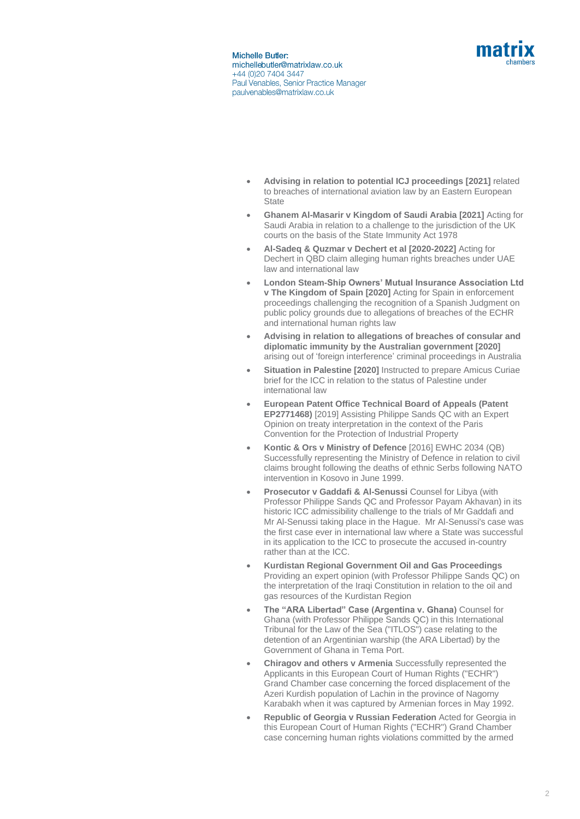

- **Advising in relation to potential ICJ proceedings [2021]** related to breaches of international aviation law by an Eastern European **State**
- **Ghanem Al-Masarir v Kingdom of Saudi Arabia [2021]** Acting for Saudi Arabia in relation to a challenge to the jurisdiction of the UK courts on the basis of the State Immunity Act 1978
- **Al-Sadeq & Quzmar v Dechert et al [2020-2022]** Acting for Dechert in QBD claim alleging human rights breaches under UAE law and international law
- **London Steam-Ship Owners' Mutual Insurance Association Ltd v The Kingdom of Spain [2020]** Acting for Spain in enforcement proceedings challenging the recognition of a Spanish Judgment on public policy grounds due to allegations of breaches of the ECHR and international human rights law
- **Advising in relation to allegations of breaches of consular and diplomatic immunity by the Australian government [2020]**  arising out of 'foreign interference' criminal proceedings in Australia
- **Situation in Palestine [2020]** Instructed to prepare Amicus Curiae brief for the ICC in relation to the status of Palestine under international law
- **European Patent Office Technical Board of Appeals (Patent EP2771468)** [2019] Assisting Philippe Sands QC with an Expert Opinion on treaty interpretation in the context of the Paris Convention for the Protection of Industrial Property
- **Kontic & Ors v Ministry of Defence** [2016] EWHC 2034 (QB) Successfully representing the Ministry of Defence in relation to civil claims brought following the deaths of ethnic Serbs following NATO intervention in Kosovo in June 1999.
- **Prosecutor v Gaddafi & Al-Senussi** Counsel for Libya (with Professor Philippe Sands QC and Professor Payam Akhavan) in its historic ICC admissibility challenge to the trials of Mr Gaddafi and Mr Al-Senussi taking place in the Hague. Mr Al-Senussi's case was the first case ever in international law where a State was successful in its application to the ICC to prosecute the accused in-country rather than at the ICC.
- **Kurdistan Regional Government Oil and Gas Proceedings** Providing an expert opinion (with Professor Philippe Sands QC) on the interpretation of the Iraqi Constitution in relation to the oil and gas resources of the Kurdistan Region
- **The "ARA Libertad" Case (Argentina v. Ghana)** Counsel for Ghana (with Professor Philippe Sands QC) in this International Tribunal for the Law of the Sea ("ITLOS") case relating to the detention of an Argentinian warship (the ARA Libertad) by the Government of Ghana in Tema Port.
- **Chiragov and others v Armenia** Successfully represented the Applicants in this European Court of Human Rights ("ECHR") Grand Chamber case concerning the forced displacement of the Azeri Kurdish population of Lachin in the province of Nagorny Karabakh when it was captured by Armenian forces in May 1992.
- **Republic of Georgia v Russian Federation** Acted for Georgia in this European Court of Human Rights ("ECHR") Grand Chamber case concerning human rights violations committed by the armed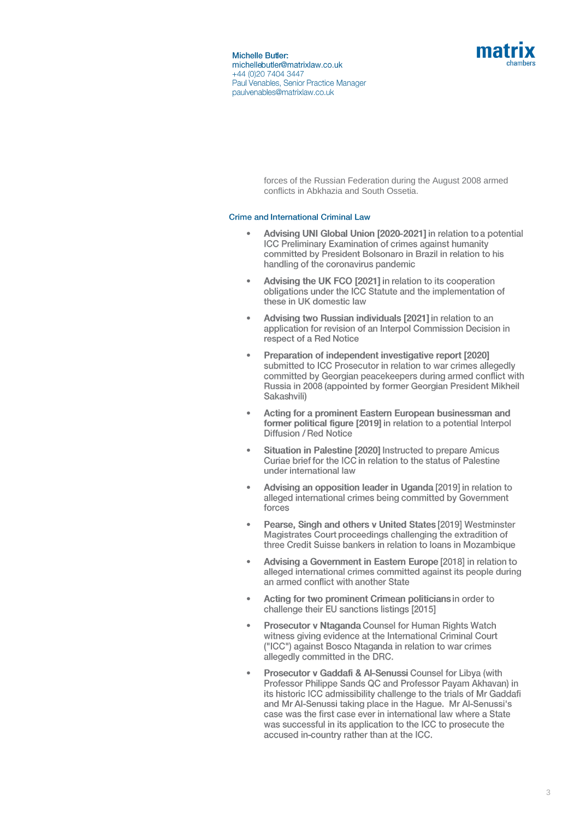

> forces of the Russian Federation during the August 2008 armed conflicts in Abkhazia and South Ossetia.

### **Crime and International Criminal Law**

- Advising UNI Global Union [2020-2021] in relation to a potential • **ICC Preliminary Examination of crimes against humanity** committed by President Bolsonaro in Brazil in relation to his handling of the coronavirus pandemic
- Advising the UK FCO [2021] in relation to its cooperation • obligations under the ICC Statute and the implementation of these in UK domestic law
- Advising two Russian individuals [2021] in relation to an • application for revision of an Interpol Commission Decision in respect of a Red Notice
- Preparation of independent investigative report [2020] • submitted to ICC Prosecutor in relation to war crimes allegedly committed by Georgian peacekeepers during armed conflict with Russia in 2008 (appointed by former Georgian President Mikheil Sakashvili)
- Acting for a prominent Eastern European businessman and • former political figure [2019] in relation to a potential Interpol **Diffusion / Red Notice**
- Situation in Palestine [2020] Instructed to prepare Amicus • Curiae brief for the ICC in relation to the status of Palestine under international law
- Advising an opposition leader in Uganda [2019] in relation to • alleged international crimes being committed by Government forces
- Pearse, Singh and others v United States [2019] Westminster • Magistrates Court proceedings challenging the extradition of three Credit Suisse bankers in relation to loans in Mozambique
- Advising a Government in Eastern Europe [2018] in relation to • alleged international crimes committed against its people during an armed conflict with another State
- Acting for two prominent Crimean politicians in order to challenge their EU sanctions listings [2015]
- Prosecutor v Ntaganda Counsel for Human Rights Watch • witness giving evidence at the International Criminal Court ("ICC") against Bosco Ntaganda in relation to war crimes allegedly committed in the DRC.
- Prosecutor v Gaddafi & Al-Senussi Counsel for Libya (with •Professor Philippe Sands QC and Professor Payam Akhavan) in its historic ICC admissibility challenge to the trials of Mr Gaddafi and Mr Al-Senussi taking place in the Hague. Mr Al-Senussi's case was the first case ever in international law where a State was successful in its application to the ICC to prosecute the accused in-country rather than at the ICC.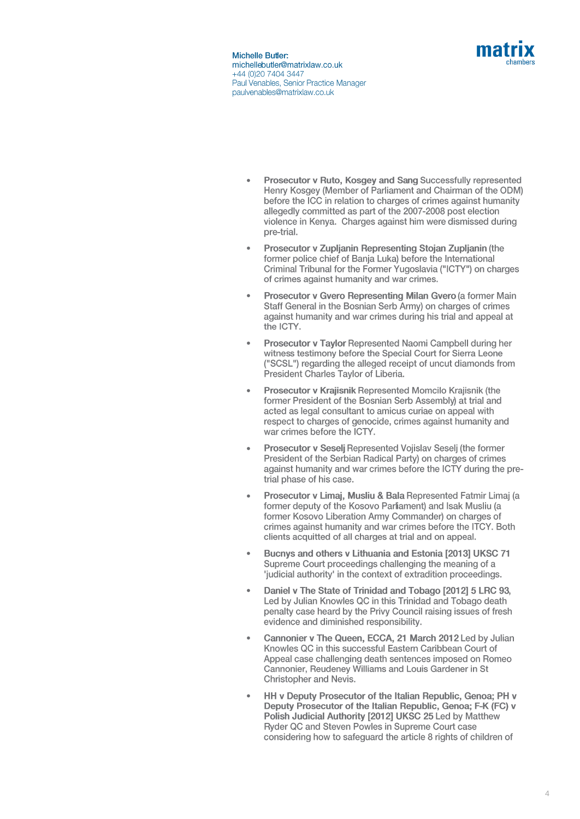

- Prosecutor v Ruto, Kosgey and Sang Successfully represented Henry Kosgey (Member of Parliament and Chairman of the ODM) before the ICC in relation to charges of crimes against humanity allegedly committed as part of the 2007-2008 post election violence in Kenva. Charges against him were dismissed during pre-trial.
- Prosecutor v Zupljanin Representing Stojan Zupljanin (the former police chief of Bania Luka) before the International Criminal Tribunal for the Former Yugoslavia ("ICTY") on charges of crimes against humanity and war crimes.
- Prosecutor v Gvero Representing Milan Gvero (a former Main Staff General in the Bosnian Serb Army) on charges of crimes against humanity and war crimes during his trial and appeal at the ICTY.
- Prosecutor v Taylor Represented Naomi Campbell during her witness testimony before the Special Court for Sierra Leone ("SCSL") regarding the alleged receipt of uncut diamonds from President Charles Taylor of Liberia.
- Prosecutor v Krajisnik Represented Momcilo Krajisnik (the former President of the Bosnian Serb Assembly) at trial and acted as legal consultant to amicus curiae on appeal with respect to charges of genocide, crimes against humanity and war crimes before the ICTY.
- Prosecutor v Seselj Represented Vojislav Seselj (the former President of the Serbian Radical Party) on charges of crimes against humanity and war crimes before the ICTY during the pretrial phase of his case.
- Prosecutor v Limaj, Musliu & Bala Represented Fatmir Limaj (a former deputy of the Kosovo Parliament) and Isak Musliu (a former Kosovo Liberation Army Commander) on charges of crimes against humanity and war crimes before the ITCY. Both clients acquitted of all charges at trial and on appeal.
- Bucnys and others v Lithuania and Estonia [2013] UKSC 71 Supreme Court proceedings challenging the meaning of a 'iudicial authority' in the context of extradition proceedings.
- Daniel v The State of Trinidad and Tobago [2012] 5 LRC 93, Led by Julian Knowles QC in this Trinidad and Tobago death penalty case heard by the Privy Council raising issues of fresh evidence and diminished responsibility.
- Cannonier v The Queen, ECCA, 21 March 2012 Led by Julian Knowles QC in this successful Eastern Caribbean Court of Appeal case challenging death sentences imposed on Romeo Cannonier, Reudeney Williams and Louis Gardener in St Christopher and Nevis.
- HH v Deputy Prosecutor of the Italian Republic, Genoa; PH v Deputy Prosecutor of the Italian Republic, Genoa; F-K (FC) v Polish Judicial Authority [2012] UKSC 25 Led by Matthew Ryder QC and Steven Powles in Supreme Court case considering how to safeguard the article 8 rights of children of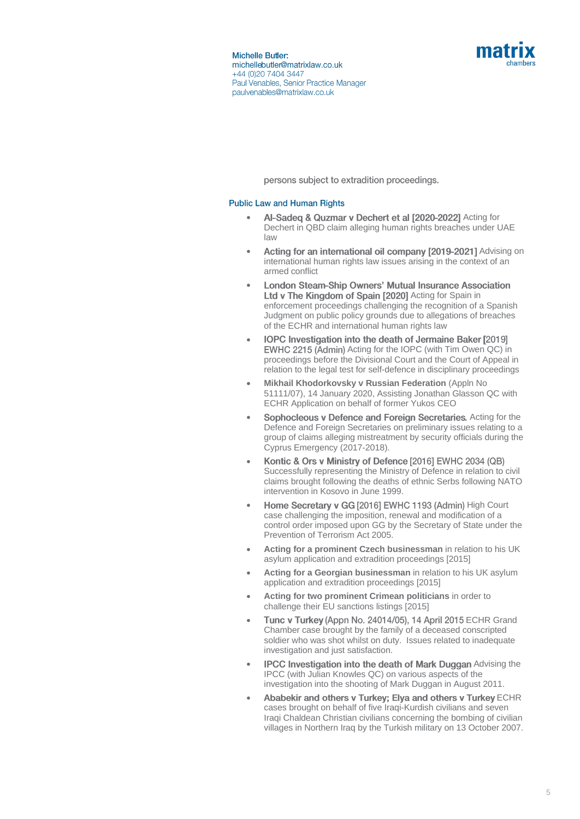

persons subject to extradition proceedings.

#### **Public Law and Human Rights**

- Al-Sadeg & Quzmar v Dechert et al [2020-2022] Acting for Dechert in QBD claim alleging human rights breaches under UAE law
- Acting for an international oil company [2019-2021] Advising on international human rights law issues arising in the context of an armed conflict
- **London Steam-Ship Owners' Mutual Insurance Association** • Ltd v The Kingdom of Spain [2020] Acting for Spain in enforcement proceedings challenging the recognition of a Spanish Judgment on public policy grounds due to allegations of breaches of the ECHR and international human rights law
- IOPC Investigation into the death of Jermaine Baker [2019] EWHC 2215 (Admin) Acting for the IOPC (with Tim Owen QC) in proceedings before the Divisional Court and the Court of Appeal in relation to the legal test for self-defence in disciplinary proceedings
- **Mikhail Khodorkovsky v Russian Federation** (Appln No 51111/07), 14 January 2020, Assisting Jonathan Glasson QC with ECHR Application on behalf of former Yukos CEO
- Sophocleous v Defence and Foreign Secretaries. Acting for the Defence and Foreign Secretaries on preliminary issues relating to a group of claims alleging mistreatment by security officials during the Cyprus Emergency (2017-2018).
- Kontic & Ors v Ministry of Defence [2016] EWHC 2034 (QB) Successfully representing the Ministry of Defence in relation to civil claims brought following the deaths of ethnic Serbs following NATO intervention in Kosovo in June 1999.
- Home Secretary v GG [2016] EWHC 1193 (Admin) High Court case challenging the imposition, renewal and modification of a control order imposed upon GG by the Secretary of State under the Prevention of Terrorism Act 2005.
- **Acting for a prominent Czech businessman** in relation to his UK asylum application and extradition proceedings [2015]
- **Acting for a Georgian businessman** in relation to his UK asylum application and extradition proceedings [2015]
- **Acting for two prominent Crimean politicians** in order to challenge their EU sanctions listings [2015]
- Tunc v Turkey (Appn No. 24014/05), 14 April 2015 ECHR Grand Chamber case brought by the family of a deceased conscripted soldier who was shot whilst on duty. Issues related to inadequate investigation and just satisfaction.
- **IPCC Investigation into the death of Mark Duggan Advising the** IPCC (with Julian Knowles QC) on various aspects of the investigation into the shooting of Mark Duggan in August 2011.
- Ababekir and others v Turkey; Elya and others v Turkey ECHR cases brought on behalf of five Iraqi-Kurdish civilians and seven Iraqi Chaldean Christian civilians concerning the bombing of civilian villages in Northern Iraq by the Turkish military on 13 October 2007.